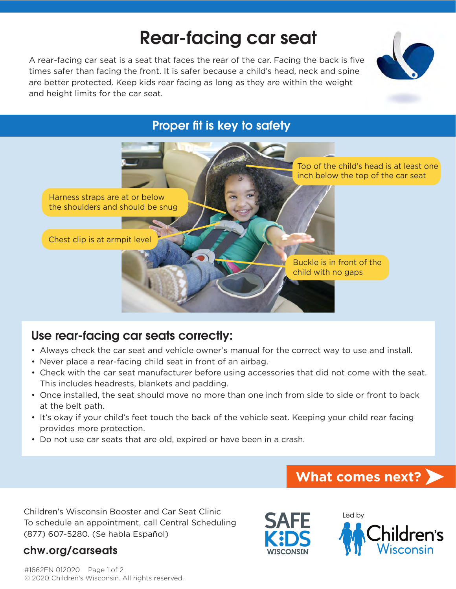# Rear-facing car seat

A rear-facing car seat is a seat that faces the rear of the car. Facing the back is five times safer than facing the front. It is safer because a child's head, neck and spine are better protected. Keep kids rear facing as long as they are within the weight and height limits for the car seat.



### Proper fit is key to safety



## Use rear-facing car seats correctly:

- Always check the car seat and vehicle owner's manual for the correct way to use and install.
- Never place a rear-facing child seat in front of an airbag.
- Check with the car seat manufacturer before using accessories that did not come with the seat. This includes headrests, blankets and padding.
- Once installed, the seat should move no more than one inch from side to side or front to back at the belt path.
- It's okay if your child's feet touch the back of the vehicle seat. Keeping your child rear facing provides more protection.
- Do not use car seats that are old, expired or have been in a crash.

# **What comes next?**

Children's Wisconsin Booster and Car Seat Clinic To schedule an appointment, call Central Scheduling (877) 607-5280. (Se habla Español)

#### chw.org/carseats